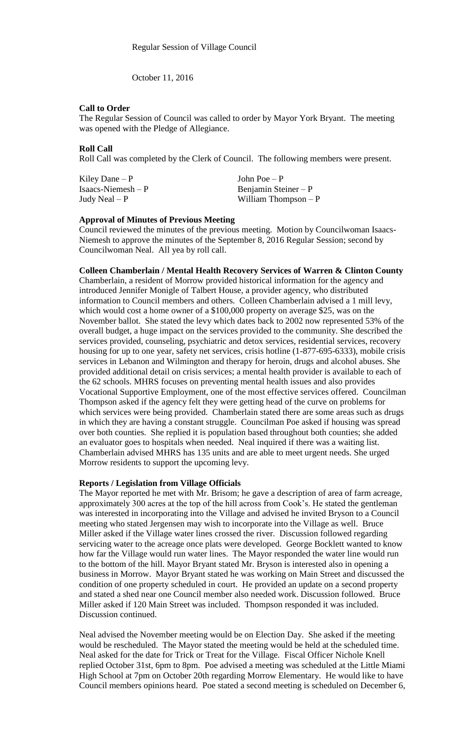October 11, 2016

# **Call to Order**

The Regular Session of Council was called to order by Mayor York Bryant. The meeting was opened with the Pledge of Allegiance.

### **Roll Call**

Roll Call was completed by the Clerk of Council. The following members were present.

Kiley Dane – P  $\qquad \qquad$  John Poe – P

Isaacs-Niemesh – P Benjamin Steiner – P Judy Neal – P William Thompson – P

### **Approval of Minutes of Previous Meeting**

Council reviewed the minutes of the previous meeting. Motion by Councilwoman Isaacs-Niemesh to approve the minutes of the September 8, 2016 Regular Session; second by Councilwoman Neal. All yea by roll call.

# **Colleen Chamberlain / Mental Health Recovery Services of Warren & Clinton County**

Chamberlain, a resident of Morrow provided historical information for the agency and introduced Jennifer Monigle of Talbert House, a provider agency, who distributed information to Council members and others. Colleen Chamberlain advised a 1 mill levy, which would cost a home owner of a \$100,000 property on average \$25, was on the November ballot. She stated the levy which dates back to 2002 now represented 53% of the overall budget, a huge impact on the services provided to the community. She described the services provided, counseling, psychiatric and detox services, residential services, recovery housing for up to one year, safety net services, crisis hotline (1-877-695-6333), mobile crisis services in Lebanon and Wilmington and therapy for heroin, drugs and alcohol abuses. She provided additional detail on crisis services; a mental health provider is available to each of the 62 schools. MHRS focuses on preventing mental health issues and also provides Vocational Supportive Employment, one of the most effective services offered. Councilman Thompson asked if the agency felt they were getting head of the curve on problems for which services were being provided. Chamberlain stated there are some areas such as drugs in which they are having a constant struggle. Councilman Poe asked if housing was spread over both counties. She replied it is population based throughout both counties; she added an evaluator goes to hospitals when needed. Neal inquired if there was a waiting list. Chamberlain advised MHRS has 135 units and are able to meet urgent needs. She urged Morrow residents to support the upcoming levy.

# **Reports / Legislation from Village Officials**

The Mayor reported he met with Mr. Brisom; he gave a description of area of farm acreage, approximately 300 acres at the top of the hill across from Cook's. He stated the gentleman was interested in incorporating into the Village and advised he invited Bryson to a Council meeting who stated Jergensen may wish to incorporate into the Village as well. Bruce Miller asked if the Village water lines crossed the river. Discussion followed regarding servicing water to the acreage once plats were developed. George Bocklett wanted to know how far the Village would run water lines. The Mayor responded the water line would run to the bottom of the hill. Mayor Bryant stated Mr. Bryson is interested also in opening a business in Morrow. Mayor Bryant stated he was working on Main Street and discussed the condition of one property scheduled in court. He provided an update on a second property and stated a shed near one Council member also needed work. Discussion followed. Bruce Miller asked if 120 Main Street was included. Thompson responded it was included. Discussion continued.

Neal advised the November meeting would be on Election Day. She asked if the meeting would be rescheduled. The Mayor stated the meeting would be held at the scheduled time. Neal asked for the date for Trick or Treat for the Village. Fiscal Officer Nichole Knell replied October 31st, 6pm to 8pm. Poe advised a meeting was scheduled at the Little Miami High School at 7pm on October 20th regarding Morrow Elementary. He would like to have Council members opinions heard. Poe stated a second meeting is scheduled on December 6,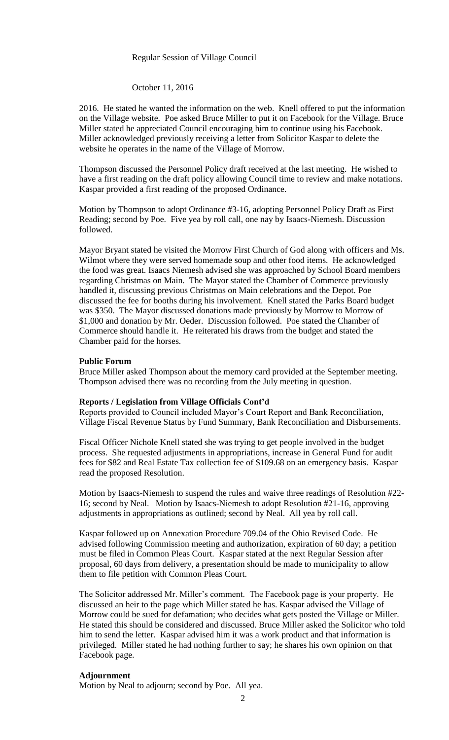# Regular Session of Village Council

# October 11, 2016

2016. He stated he wanted the information on the web. Knell offered to put the information on the Village website. Poe asked Bruce Miller to put it on Facebook for the Village. Bruce Miller stated he appreciated Council encouraging him to continue using his Facebook. Miller acknowledged previously receiving a letter from Solicitor Kaspar to delete the website he operates in the name of the Village of Morrow.

Thompson discussed the Personnel Policy draft received at the last meeting. He wished to have a first reading on the draft policy allowing Council time to review and make notations. Kaspar provided a first reading of the proposed Ordinance.

Motion by Thompson to adopt Ordinance #3-16, adopting Personnel Policy Draft as First Reading; second by Poe. Five yea by roll call, one nay by Isaacs-Niemesh. Discussion followed.

Mayor Bryant stated he visited the Morrow First Church of God along with officers and Ms. Wilmot where they were served homemade soup and other food items. He acknowledged the food was great. Isaacs Niemesh advised she was approached by School Board members regarding Christmas on Main. The Mayor stated the Chamber of Commerce previously handled it, discussing previous Christmas on Main celebrations and the Depot. Poe discussed the fee for booths during his involvement. Knell stated the Parks Board budget was \$350. The Mayor discussed donations made previously by Morrow to Morrow of \$1,000 and donation by Mr. Oeder. Discussion followed. Poe stated the Chamber of Commerce should handle it. He reiterated his draws from the budget and stated the Chamber paid for the horses.

#### **Public Forum**

Bruce Miller asked Thompson about the memory card provided at the September meeting. Thompson advised there was no recording from the July meeting in question.

#### **Reports / Legislation from Village Officials Cont'd**

Reports provided to Council included Mayor's Court Report and Bank Reconciliation, Village Fiscal Revenue Status by Fund Summary, Bank Reconciliation and Disbursements.

Fiscal Officer Nichole Knell stated she was trying to get people involved in the budget process. She requested adjustments in appropriations, increase in General Fund for audit fees for \$82 and Real Estate Tax collection fee of \$109.68 on an emergency basis. Kaspar read the proposed Resolution.

Motion by Isaacs-Niemesh to suspend the rules and waive three readings of Resolution #22- 16; second by Neal. Motion by Isaacs-Niemesh to adopt Resolution #21-16, approving adjustments in appropriations as outlined; second by Neal. All yea by roll call.

Kaspar followed up on Annexation Procedure 709.04 of the Ohio Revised Code. He advised following Commission meeting and authorization, expiration of 60 day; a petition must be filed in Common Pleas Court. Kaspar stated at the next Regular Session after proposal, 60 days from delivery, a presentation should be made to municipality to allow them to file petition with Common Pleas Court.

The Solicitor addressed Mr. Miller's comment. The Facebook page is your property. He discussed an heir to the page which Miller stated he has. Kaspar advised the Village of Morrow could be sued for defamation; who decides what gets posted the Village or Miller. He stated this should be considered and discussed. Bruce Miller asked the Solicitor who told him to send the letter. Kaspar advised him it was a work product and that information is privileged. Miller stated he had nothing further to say; he shares his own opinion on that Facebook page.

# **Adjournment**

Motion by Neal to adjourn; second by Poe. All yea.